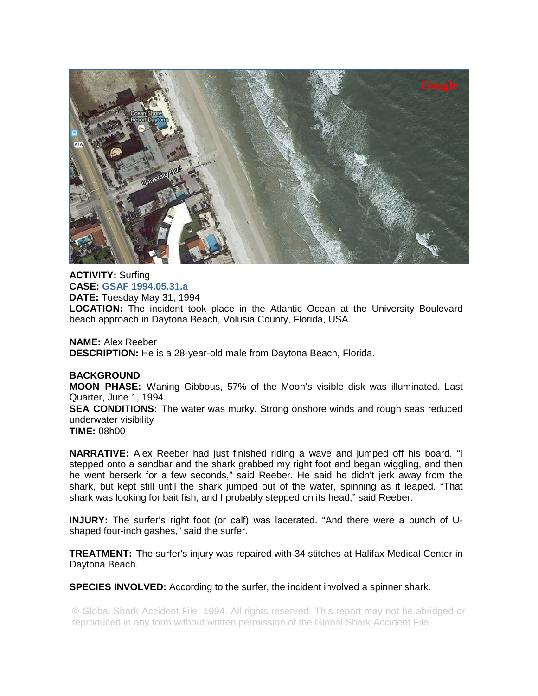

**ACTIVITY:** Surfing **CASE: GSAF 1994.05.31.a DATE:** Tuesday May 31, 1994 **LOCATION:** The incident took place in the Atlantic Ocean at the University Boulevard beach approach in Daytona Beach, Volusia County, Florida, USA.

**NAME:** Alex Reeber **DESCRIPTION:** He is a 28-year-old male from Daytona Beach, Florida.

## **BACKGROUND**

**MOON PHASE:** Waning Gibbous, 57% of the Moon's visible disk was illuminated. Last Quarter, June 1, 1994.

**SEA CONDITIONS:** The water was murky. Strong onshore winds and rough seas reduced underwater visibility

**TIME:** 08h00

**NARRATIVE:** Alex Reeber had just finished riding a wave and jumped off his board. "I stepped onto a sandbar and the shark grabbed my right foot and began wiggling, and then he went berserk for a few seconds," said Reeber. He said he didn't jerk away from the shark, but kept still until the shark jumped out of the water, spinning as it leaped. "That shark was looking for bait fish, and I probably stepped on its head," said Reeber.

**INJURY:** The surfer's right foot (or calf) was lacerated. "And there were a bunch of Ushaped four-inch gashes," said the surfer.

**TREATMENT:** The surfer's injury was repaired with 34 stitches at Halifax Medical Center in Daytona Beach.

**SPECIES INVOLVED:** According to the surfer, the incident involved a spinner shark.

© Global Shark Accident File, 1994. All rights reserved. This report may not be abridged or reproduced in any form without written permission of the Global Shark Accident File.